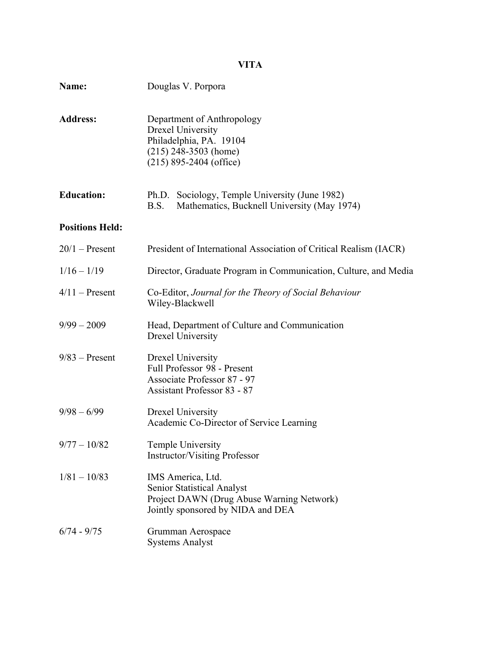# **VITA**

| Name:                  | Douglas V. Porpora                                                                                                                        |
|------------------------|-------------------------------------------------------------------------------------------------------------------------------------------|
| <b>Address:</b>        | Department of Anthropology<br><b>Drexel University</b><br>Philadelphia, PA. 19104<br>$(215)$ 248-3503 (home)<br>$(215)$ 895-2404 (office) |
| <b>Education:</b>      | Ph.D. Sociology, Temple University (June 1982)<br>Mathematics, Bucknell University (May 1974)<br>B.S.                                     |
| <b>Positions Held:</b> |                                                                                                                                           |
| $20/1$ – Present       | President of International Association of Critical Realism (IACR)                                                                         |
| $1/16 - 1/19$          | Director, Graduate Program in Communication, Culture, and Media                                                                           |
| $4/11$ – Present       | Co-Editor, Journal for the Theory of Social Behaviour<br>Wiley-Blackwell                                                                  |
| $9/99 - 2009$          | Head, Department of Culture and Communication<br><b>Drexel University</b>                                                                 |
| $9/83$ – Present       | Drexel University<br>Full Professor 98 - Present<br>Associate Professor 87 - 97<br><b>Assistant Professor 83 - 87</b>                     |
| $9/98 - 6/99$          | Drexel University<br>Academic Co-Director of Service Learning                                                                             |
| $9/77 - 10/82$         | Temple University<br><b>Instructor/Visiting Professor</b>                                                                                 |
| $1/81 - 10/83$         | IMS America, Ltd.<br><b>Senior Statistical Analyst</b><br>Project DAWN (Drug Abuse Warning Network)<br>Jointly sponsored by NIDA and DEA  |
| $6/74 - 9/75$          | Grumman Aerospace<br><b>Systems Analyst</b>                                                                                               |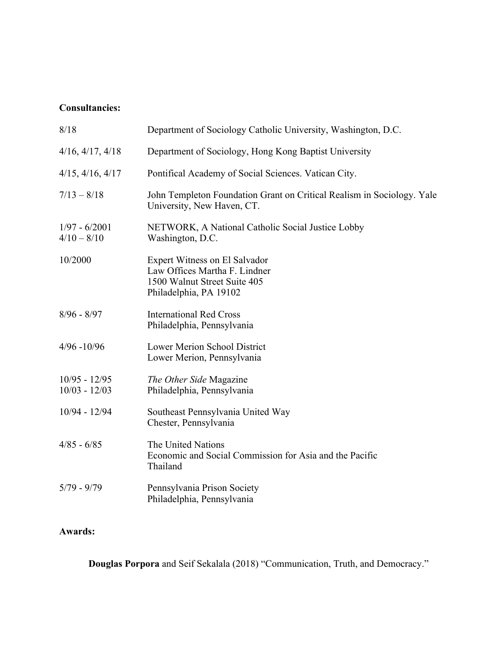## **Consultancies:**

| 8/18                               | Department of Sociology Catholic University, Washington, D.C.                                                            |
|------------------------------------|--------------------------------------------------------------------------------------------------------------------------|
| $4/16$ , $4/17$ , $4/18$           | Department of Sociology, Hong Kong Baptist University                                                                    |
| $4/15$ , $4/16$ , $4/17$           | Pontifical Academy of Social Sciences. Vatican City.                                                                     |
| $7/13 - 8/18$                      | John Templeton Foundation Grant on Critical Realism in Sociology. Yale<br>University, New Haven, CT.                     |
| $1/97 - 6/2001$<br>$4/10 - 8/10$   | NETWORK, A National Catholic Social Justice Lobby<br>Washington, D.C.                                                    |
| 10/2000                            | Expert Witness on El Salvador<br>Law Offices Martha F. Lindner<br>1500 Walnut Street Suite 405<br>Philadelphia, PA 19102 |
| $8/96 - 8/97$                      | <b>International Red Cross</b><br>Philadelphia, Pennsylvania                                                             |
| $4/96 - 10/96$                     | Lower Merion School District<br>Lower Merion, Pennsylvania                                                               |
| $10/95 - 12/95$<br>$10/03 - 12/03$ | The Other Side Magazine<br>Philadelphia, Pennsylvania                                                                    |
| $10/94 - 12/94$                    | Southeast Pennsylvania United Way<br>Chester, Pennsylvania                                                               |
| $4/85 - 6/85$                      | The United Nations<br>Economic and Social Commission for Asia and the Pacific<br>Thailand                                |
| $5/79 - 9/79$                      | Pennsylvania Prison Society<br>Philadelphia, Pennsylvania                                                                |

## **Awards:**

**Douglas Porpora** and Seif Sekalala (2018) "Communication, Truth, and Democracy."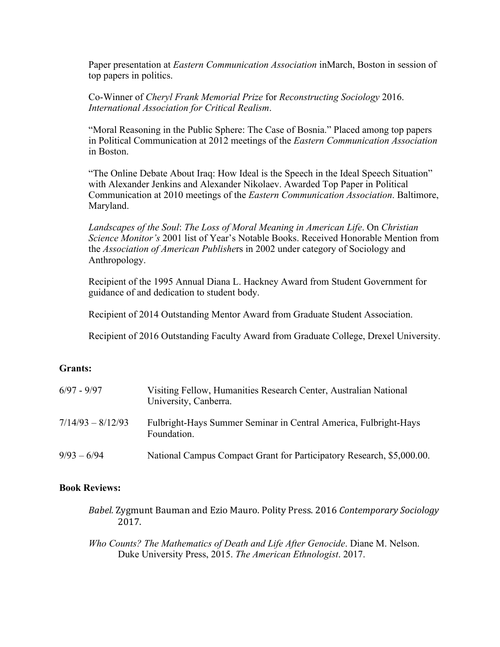Paper presentation at *Eastern Communication Association* inMarch, Boston in session of top papers in politics.

Co-Winner of *Cheryl Frank Memorial Prize* for *Reconstructing Sociology* 2016. *International Association for Critical Realism*.

"Moral Reasoning in the Public Sphere: The Case of Bosnia." Placed among top papers in Political Communication at 2012 meetings of the *Eastern Communication Association* in Boston.

"The Online Debate About Iraq: How Ideal is the Speech in the Ideal Speech Situation" with Alexander Jenkins and Alexander Nikolaev. Awarded Top Paper in Political Communication at 2010 meetings of the *Eastern Communication Association*. Baltimore, Maryland.

*Landscapes of the Soul*: *The Loss of Moral Meaning in American Life*. On *Christian Science Monitor's* 2001 list of Year's Notable Books. Received Honorable Mention from the *Association of American Publishe*rs in 2002 under category of Sociology and Anthropology.

Recipient of the 1995 Annual Diana L. Hackney Award from Student Government for guidance of and dedication to student body.

Recipient of 2014 Outstanding Mentor Award from Graduate Student Association.

Recipient of 2016 Outstanding Faculty Award from Graduate College, Drexel University.

## **Grants:**

| $6/97 - 9/97$       | Visiting Fellow, Humanities Research Center, Australian National<br>University, Canberra. |
|---------------------|-------------------------------------------------------------------------------------------|
| $7/14/93 - 8/12/93$ | Fulbright-Hays Summer Seminar in Central America, Fulbright-Hays<br>Foundation.           |
| $9/93 - 6/94$       | National Campus Compact Grant for Participatory Research, \$5,000.00.                     |

#### **Book Reviews:**

*Babel.* Zygmunt Bauman and Ezio Mauro. Polity Press. 2016 Contemporary Sociology 2017.

*Who Counts? The Mathematics of Death and Life After Genocide*. Diane M. Nelson. Duke University Press, 2015. *The American Ethnologist*. 2017.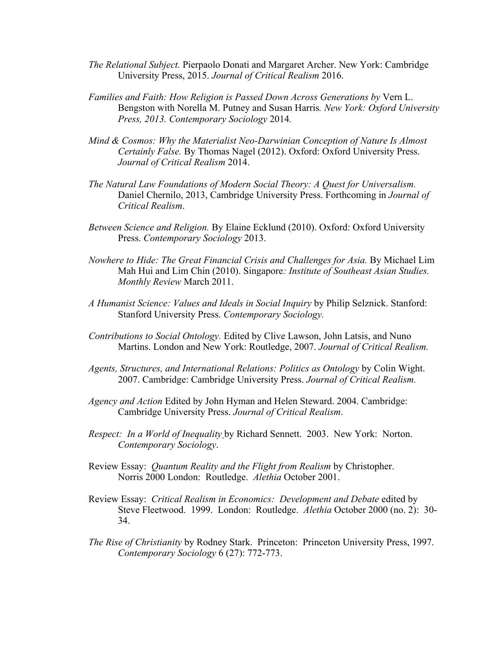- *The Relational Subject.* Pierpaolo Donati and Margaret Archer. New York: Cambridge University Press, 2015. *Journal of Critical Realism* 2016.
- *Families and Faith: How Religion is Passed Down Across Generations by* Vern L. Bengston with Norella M. Putney and Susan Harris*. New York: Oxford University Press, 2013. Contemporary Sociology* 2014*.*
- *Mind & Cosmos: Why the Materialist Neo-Darwinian Conception of Nature Is Almost Certainly False.* By Thomas Nagel (2012). Oxford: Oxford University Press. *Journal of Critical Realism* 2014.
- *The Natural Law Foundations of Modern Social Theory: A Quest for Universalism.*  Daniel Chernilo, 2013, Cambridge University Press. Forthcoming in *Journal of Critical Realism*.
- *Between Science and Religion.* By Elaine Ecklund (2010). Oxford: Oxford University Press. *Contemporary Sociology* 2013.
- *Nowhere to Hide: The Great Financial Crisis and Challenges for Asia.* By Michael Lim Mah Hui and Lim Chin (2010). Singapore*: Institute of Southeast Asian Studies. Monthly Review* March 2011.
- *A Humanist Science: Values and Ideals in Social Inquiry* by Philip Selznick. Stanford: Stanford University Press. *Contemporary Sociology.*
- *Contributions to Social Ontology.* Edited by Clive Lawson, John Latsis, and Nuno Martins. London and New York: Routledge, 2007. *Journal of Critical Realism.*
- *Agents, Structures, and International Relations: Politics as Ontology* by Colin Wight. 2007. Cambridge: Cambridge University Press. *Journal of Critical Realism.*
- *Agency and Action* Edited by John Hyman and Helen Steward. 2004. Cambridge: Cambridge University Press. *Journal of Critical Realism*.
- *Respect: In a World of Inequality* by Richard Sennett. 2003. New York: Norton. *Contemporary Sociology*.
- Review Essay: *Quantum Reality and the Flight from Realism* by Christopher. Norris 2000 London: Routledge. *Alethia* October 2001.
- Review Essay: *Critical Realism in Economics: Development and Debate* edited by Steve Fleetwood. 1999. London: Routledge. *Alethia* October 2000 (no. 2): 30- 34.
- *The Rise of Christianity* by Rodney Stark. Princeton: Princeton University Press, 1997. *Contemporary Sociology* 6 (27): 772-773.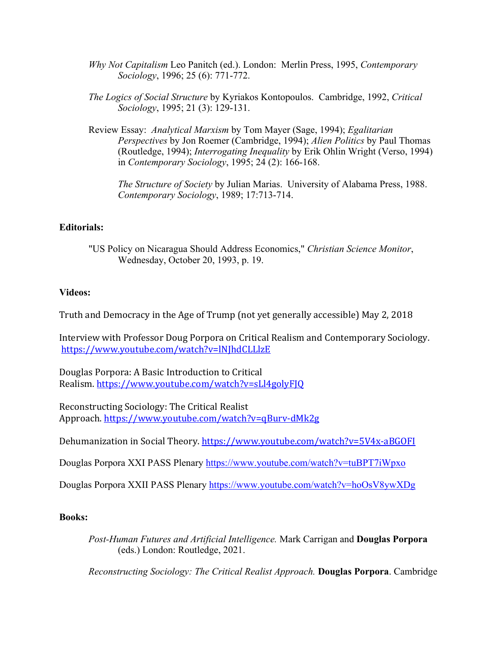- *Why Not Capitalism* Leo Panitch (ed.). London: Merlin Press, 1995, *Contemporary Sociology*, 1996; 25 (6): 771-772.
- *The Logics of Social Structure* by Kyriakos Kontopoulos. Cambridge, 1992, *Critical Sociology*, 1995; 21 (3): 129-131.
- Review Essay: *Analytical Marxism* by Tom Mayer (Sage, 1994); *Egalitarian Perspectives* by Jon Roemer (Cambridge, 1994); *Alien Politics* by Paul Thomas (Routledge, 1994); *Interrogating Inequality* by Erik Ohlin Wright (Verso, 1994) in *Contemporary Sociology*, 1995; 24 (2): 166-168.

*The Structure of Society* by Julian Marias. University of Alabama Press, 1988. *Contemporary Sociology*, 1989; 17:713-714.

## **Editorials:**

"US Policy on Nicaragua Should Address Economics," *Christian Science Monitor*, Wednesday, October 20, 1993, p. 19.

## **Videos:**

Truth and Democracy in the Age of Trump (not yet generally accessible) May 2, 2018

Interview with Professor Doug Porpora on Critical Realism and Contemporary Sociology. https://www.youtube.com/watch?v=lNJhdCLLlzE

Douglas Porpora: A Basic Introduction to Critical Realism. https://www.youtube.com/watch?v=sLl4golyFJQ

Reconstructing Sociology: The Critical Realist Approach. https://www.youtube.com/watch?v=qBurv-dMk2g

Dehumanization in Social Theory. https://www.youtube.com/watch?v=5V4x-aBGOFI

Douglas Porpora XXI PASS Plenary https://www.youtube.com/watch?v=tuBPT7iWpxo

Douglas Porpora XXII PASS Plenary https://www.youtube.com/watch?v=hoOsV8ywXDg

## **Books:**

*Post-Human Futures and Artificial Intelligence.* Mark Carrigan and **Douglas Porpora** (eds.) London: Routledge, 2021.

*Reconstructing Sociology: The Critical Realist Approach.* **Douglas Porpora**. Cambridge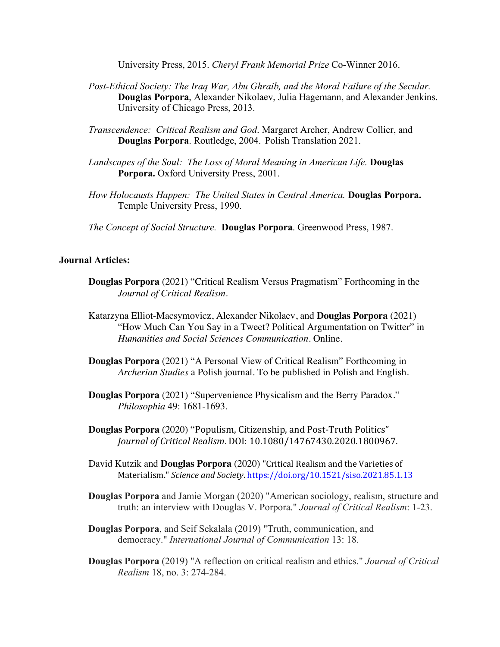University Press, 2015. *Cheryl Frank Memorial Prize* Co-Winner 2016.

- *Post-Ethical Society: The Iraq War, Abu Ghraib, and the Moral Failure of the Secular.*  **Douglas Porpora**, Alexander Nikolaev, Julia Hagemann, and Alexander Jenkins. University of Chicago Press, 2013.
- *Transcendence: Critical Realism and God*. Margaret Archer, Andrew Collier, and **Douglas Porpora**. Routledge, 2004. Polish Translation 2021.
- *Landscapes of the Soul: The Loss of Moral Meaning in American Life.* **Douglas Porpora.** Oxford University Press, 2001.
- *How Holocausts Happen: The United States in Central America.* **Douglas Porpora.** Temple University Press, 1990.
- *The Concept of Social Structure.* **Douglas Porpora**. Greenwood Press, 1987.

#### **Journal Articles:**

- **Douglas Porpora** (2021) "Critical Realism Versus Pragmatism" Forthcoming in the *Journal of Critical Realism*.
- Katarzyna Elliot-Macsymovicz, Alexander Nikolaev, and **Douglas Porpora** (2021) "How Much Can You Say in a Tweet? Political Argumentation on Twitter" in *Humanities and Social Sciences Communication*. Online.
- **Douglas Porpora** (2021) "A Personal View of Critical Realism" Forthcoming in *Archerian Studies* a Polish journal. To be published in Polish and English.
- **Douglas Porpora** (2021) "Supervenience Physicalism and the Berry Paradox." *Philosophia* 49: 1681-1693.

**Douglas Porpora** (2020) "Populism, Citizenship, and Post-Truth Politics" *Journal of Critical Realism*. DOI: 10.1080/14767430.2020.1800967.

- David Kutzik and **Douglas Porpora** (2020) "Critical Realism and the Varieties of Materialism." Science and Society. https://doi.org/10.1521/siso.2021.85.1.13
- **Douglas Porpora** and Jamie Morgan (2020) "American sociology, realism, structure and truth: an interview with Douglas V. Porpora." *Journal of Critical Realism*: 1-23.
- **Douglas Porpora**, and Seif Sekalala (2019) "Truth, communication, and democracy." *International Journal of Communication* 13: 18.
- **Douglas Porpora** (2019) "A reflection on critical realism and ethics." *Journal of Critical Realism* 18, no. 3: 274-284.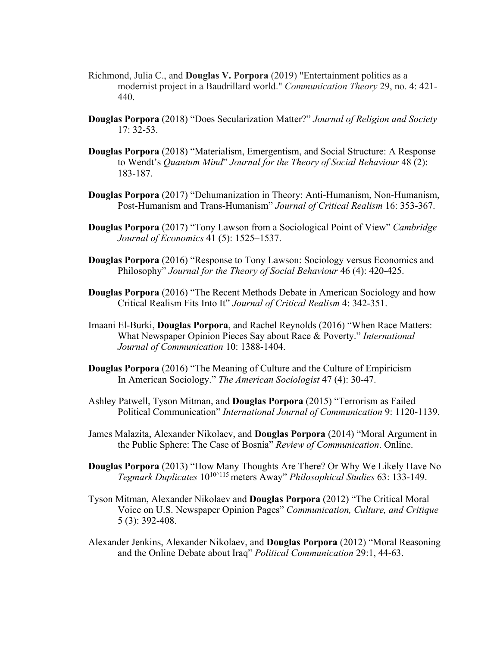- Richmond, Julia C., and **Douglas V. Porpora** (2019) "Entertainment politics as a modernist project in a Baudrillard world." *Communication Theory* 29, no. 4: 421- 440.
- **Douglas Porpora** (2018) "Does Secularization Matter?" *Journal of Religion and Society* 17: 32-53.
- **Douglas Porpora** (2018) "Materialism, Emergentism, and Social Structure: A Response to Wendt's *Quantum Mind*" *Journal for the Theory of Social Behaviour* 48 (2): 183-187.
- **Douglas Porpora** (2017) "Dehumanization in Theory: Anti-Humanism, Non-Humanism, Post-Humanism and Trans-Humanism" *Journal of Critical Realism* 16: 353-367.
- **Douglas Porpora** (2017) "Tony Lawson from a Sociological Point of View" *Cambridge Journal of Economics* 41 (5): 1525–1537.
- **Douglas Porpora** (2016) "Response to Tony Lawson: Sociology versus Economics and Philosophy" *Journal for the Theory of Social Behaviour* 46 (4): 420-425.
- **Douglas Porpora** (2016) "The Recent Methods Debate in American Sociology and how Critical Realism Fits Into It" *Journal of Critical Realism* 4: 342-351.
- Imaani El-Burki, **Douglas Porpora**, and Rachel Reynolds (2016) "When Race Matters: What Newspaper Opinion Pieces Say about Race & Poverty." *International Journal of Communication* 10: 1388-1404.
- **Douglas Porpora** (2016) "The Meaning of Culture and the Culture of Empiricism In American Sociology." *The American Sociologist* 47 (4): 30-47.
- Ashley Patwell, Tyson Mitman, and **Douglas Porpora** (2015) "Terrorism as Failed Political Communication" *International Journal of Communication* 9: 1120-1139.
- James Malazita, Alexander Nikolaev, and **Douglas Porpora** (2014) "Moral Argument in the Public Sphere: The Case of Bosnia" *Review of Communication*. Online.
- **Douglas Porpora** (2013) "How Many Thoughts Are There? Or Why We Likely Have No *Tegmark Duplicates* 1010^115 meters Away" *Philosophical Studies* 63: 133-149.
- Tyson Mitman, Alexander Nikolaev and **Douglas Porpora** (2012) "The Critical Moral Voice on U.S. Newspaper Opinion Pages" *Communication, Culture, and Critique* 5 (3): 392-408.
- Alexander Jenkins, Alexander Nikolaev, and **Douglas Porpora** (2012) "Moral Reasoning and the Online Debate about Iraq" *Political Communication* 29:1, 44-63.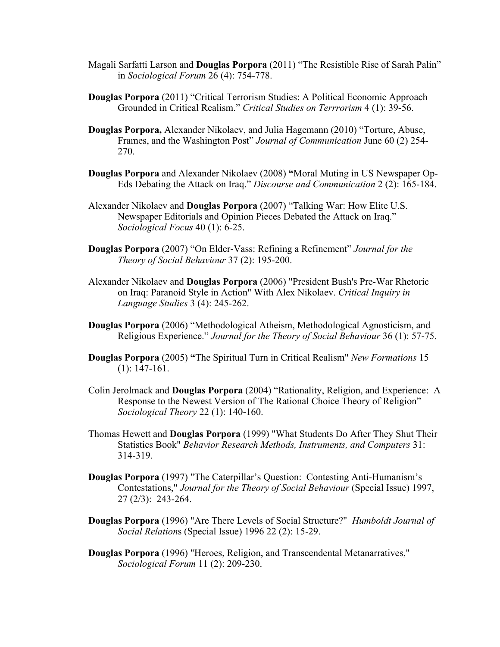- Magali Sarfatti Larson and **Douglas Porpora** (2011) "The Resistible Rise of Sarah Palin" in *Sociological Forum* 26 (4): 754-778.
- **Douglas Porpora** (2011) "Critical Terrorism Studies: A Political Economic Approach Grounded in Critical Realism." *Critical Studies on Terrrorism* 4 (1): 39-56.
- **Douglas Porpora,** Alexander Nikolaev, and Julia Hagemann (2010) "Torture, Abuse, Frames, and the Washington Post" *Journal of Communication* June 60 (2) 254- 270.
- **Douglas Porpora** and Alexander Nikolaev (2008) **"**Moral Muting in US Newspaper Op-Eds Debating the Attack on Iraq." *Discourse and Communication* 2 (2): 165-184.
- Alexander Nikolaev and **Douglas Porpora** (2007) "Talking War: How Elite U.S. Newspaper Editorials and Opinion Pieces Debated the Attack on Iraq." *Sociological Focus* 40 (1): 6-25.
- **Douglas Porpora** (2007) "On Elder-Vass: Refining a Refinement" *Journal for the Theory of Social Behaviour* 37 (2): 195-200.
- Alexander Nikolaev and **Douglas Porpora** (2006) "President Bush's Pre-War Rhetoric on Iraq: Paranoid Style in Action" With Alex Nikolaev. *Critical Inquiry in Language Studies* 3 (4): 245-262.
- **Douglas Porpora** (2006) "Methodological Atheism, Methodological Agnosticism, and Religious Experience." *Journal for the Theory of Social Behaviour* 36 (1): 57-75.
- **Douglas Porpora** (2005) **"**The Spiritual Turn in Critical Realism" *New Formations* 15 (1): 147-161.
- Colin Jerolmack and **Douglas Porpora** (2004) "Rationality, Religion, and Experience: A Response to the Newest Version of The Rational Choice Theory of Religion" *Sociological Theory* 22 (1): 140-160.
- Thomas Hewett and **Douglas Porpora** (1999) "What Students Do After They Shut Their Statistics Book" *Behavior Research Methods, Instruments, and Computers* 31: 314-319.
- **Douglas Porpora** (1997) "The Caterpillar's Question: Contesting Anti-Humanism's Contestations," *Journal for the Theory of Social Behaviour* (Special Issue) 1997, 27 (2/3): 243-264.
- **Douglas Porpora** (1996) "Are There Levels of Social Structure?" *Humboldt Journal of Social Relation*s (Special Issue) 1996 22 (2): 15-29.
- **Douglas Porpora** (1996) "Heroes, Religion, and Transcendental Metanarratives," *Sociological Forum* 11 (2): 209-230.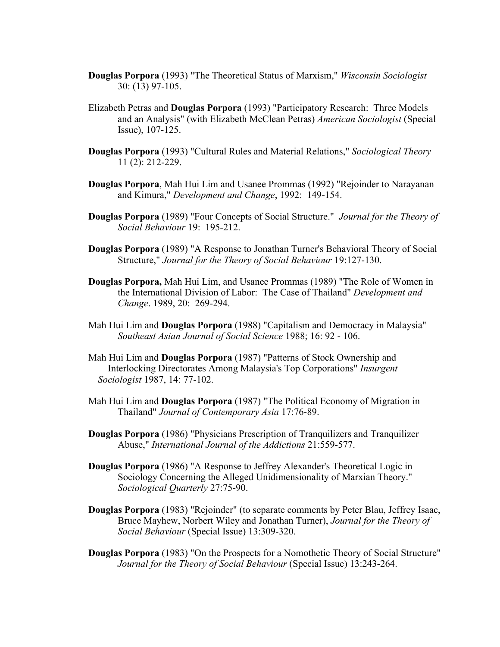- **Douglas Porpora** (1993) "The Theoretical Status of Marxism," *Wisconsin Sociologist* 30: (13) 97-105.
- Elizabeth Petras and **Douglas Porpora** (1993) "Participatory Research: Three Models and an Analysis" (with Elizabeth McClean Petras) *American Sociologist* (Special Issue), 107-125.
- **Douglas Porpora** (1993) "Cultural Rules and Material Relations," *Sociological Theory* 11 (2): 212-229.
- **Douglas Porpora**, Mah Hui Lim and Usanee Prommas (1992) "Rejoinder to Narayanan and Kimura," *Development and Change*, 1992: 149-154.
- **Douglas Porpora** (1989) "Four Concepts of Social Structure." *Journal for the Theory of Social Behaviour* 19: 195-212.
- **Douglas Porpora** (1989) "A Response to Jonathan Turner's Behavioral Theory of Social Structure," *Journal for the Theory of Social Behaviour* 19:127-130.
- **Douglas Porpora,** Mah Hui Lim, and Usanee Prommas (1989) "The Role of Women in the International Division of Labor: The Case of Thailand" *Development and Change*. 1989, 20: 269-294.
- Mah Hui Lim and **Douglas Porpora** (1988) "Capitalism and Democracy in Malaysia" *Southeast Asian Journal of Social Science* 1988; 16: 92 - 106.
- Mah Hui Lim and **Douglas Porpora** (1987) "Patterns of Stock Ownership and Interlocking Directorates Among Malaysia's Top Corporations" *Insurgent Sociologist* 1987, 14: 77-102.
- Mah Hui Lim and **Douglas Porpora** (1987) "The Political Economy of Migration in Thailand" *Journal of Contemporary Asia* 17:76-89.
- **Douglas Porpora** (1986) "Physicians Prescription of Tranquilizers and Tranquilizer Abuse," *International Journal of the Addictions* 21:559-577.
- **Douglas Porpora** (1986) "A Response to Jeffrey Alexander's Theoretical Logic in Sociology Concerning the Alleged Unidimensionality of Marxian Theory." *Sociological Quarterly* 27:75-90.
- **Douglas Porpora** (1983) "Rejoinder" (to separate comments by Peter Blau, Jeffrey Isaac, Bruce Mayhew, Norbert Wiley and Jonathan Turner), *Journal for the Theory of Social Behaviour* (Special Issue) 13:309-320.
- **Douglas Porpora** (1983) "On the Prospects for a Nomothetic Theory of Social Structure" *Journal for the Theory of Social Behaviour* (Special Issue) 13:243-264.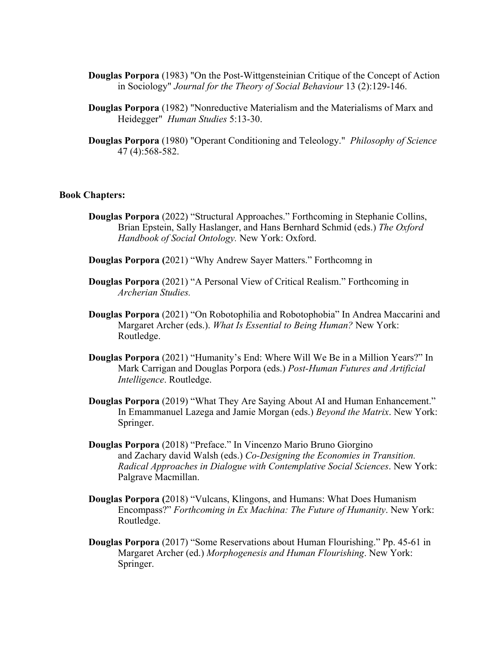- **Douglas Porpora** (1983) "On the Post-Wittgensteinian Critique of the Concept of Action in Sociology" *Journal for the Theory of Social Behaviour* 13 (2):129-146.
- **Douglas Porpora** (1982) "Nonreductive Materialism and the Materialisms of Marx and Heidegger" *Human Studies* 5:13-30.
- **Douglas Porpora** (1980) "Operant Conditioning and Teleology." *Philosophy of Science* 47 (4):568-582.

#### **Book Chapters:**

- **Douglas Porpora** (2022) "Structural Approaches." Forthcoming in Stephanie Collins, Brian Epstein, Sally Haslanger, and Hans Bernhard Schmid (eds.) *The Oxford Handbook of Social Ontology.* New York: Oxford.
- **Douglas Porpora (**2021) "Why Andrew Sayer Matters." Forthcomng in
- **Douglas Porpora** (2021) "A Personal View of Critical Realism." Forthcoming in *Archerian Studies.*
- **Douglas Porpora** (2021) "On Robotophilia and Robotophobia" In Andrea Maccarini and Margaret Archer (eds.). *What Is Essential to Being Human?* New York: Routledge.
- **Douglas Porpora** (2021) "Humanity's End: Where Will We Be in a Million Years?" In Mark Carrigan and Douglas Porpora (eds.) *Post-Human Futures and Artificial Intelligence*. Routledge.
- **Douglas Porpora** (2019) "What They Are Saying About AI and Human Enhancement." In Emammanuel Lazega and Jamie Morgan (eds.) *Beyond the Matrix*. New York: Springer.
- **Douglas Porpora** (2018) "Preface." In Vincenzo Mario Bruno Giorgino and Zachary david Walsh (eds.) *Co-Designing the Economies in Transition. Radical Approaches in Dialogue with Contemplative Social Sciences*. New York: Palgrave Macmillan.
- **Douglas Porpora (**2018) "Vulcans, Klingons, and Humans: What Does Humanism Encompass?" *Forthcoming in Ex Machina: The Future of Humanity*. New York: Routledge.
- **Douglas Porpora** (2017) "Some Reservations about Human Flourishing." Pp. 45-61 in Margaret Archer (ed.) *Morphogenesis and Human Flourishing*. New York: Springer.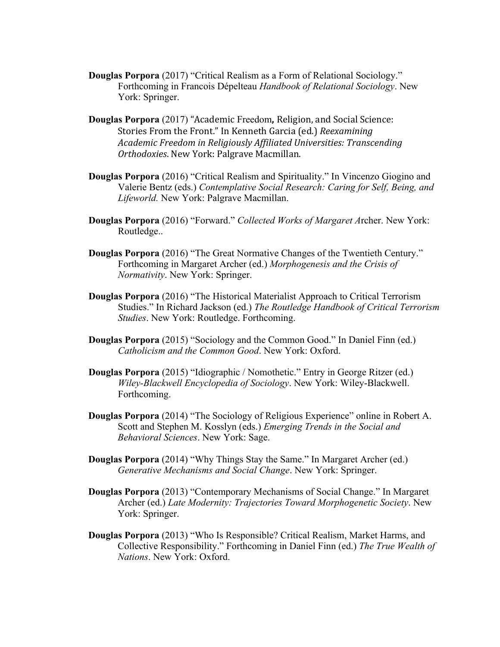- **Douglas Porpora** (2017) "Critical Realism as a Form of Relational Sociology." Forthcoming in Francois Dépelteau *Handbook of Relational Sociology*. New York: Springer.
- **Douglas Porpora** (2017) "Academic Freedom, Religion, and Social Science: Stories From the Front." In Kenneth Garcia (ed.) *Reexamining* Academic Freedom in Religiously Affiliated Universities: Transcending *Orthodoxies*. New York: Palgrave Macmillan.
- **Douglas Porpora** (2016) "Critical Realism and Spirituality." In Vincenzo Giogino and Valerie Bentz (eds.) *Contemplative Social Research: Caring for Self, Being, and Lifeworld.* New York: Palgrave Macmillan.
- **Douglas Porpora** (2016) "Forward." *Collected Works of Margaret A*rcher. New York: Routledge..
- **Douglas Porpora** (2016) "The Great Normative Changes of the Twentieth Century." Forthcoming in Margaret Archer (ed.) *Morphogenesis and the Crisis of Normativity*. New York: Springer.
- **Douglas Porpora** (2016) "The Historical Materialist Approach to Critical Terrorism Studies." In Richard Jackson (ed.) *The Routledge Handbook of Critical Terrorism Studies*. New York: Routledge. Forthcoming.
- **Douglas Porpora** (2015) "Sociology and the Common Good." In Daniel Finn (ed.) *Catholicism and the Common Good*. New York: Oxford.
- **Douglas Porpora** (2015) "Idiographic / Nomothetic." Entry in George Ritzer (ed.) *Wiley-Blackwell Encyclopedia of Sociology*. New York: Wiley-Blackwell. Forthcoming.
- **Douglas Porpora** (2014) "The Sociology of Religious Experience" online in Robert A. Scott and Stephen M. Kosslyn (eds.) *Emerging Trends in the Social and Behavioral Sciences*. New York: Sage.
- **Douglas Porpora** (2014) "Why Things Stay the Same." In Margaret Archer (ed.) *Generative Mechanisms and Social Change*. New York: Springer.
- **Douglas Porpora** (2013) "Contemporary Mechanisms of Social Change." In Margaret Archer (ed.) *Late Modernity: Trajectories Toward Morphogenetic Society*. New York: Springer.
- **Douglas Porpora** (2013) "Who Is Responsible? Critical Realism, Market Harms, and Collective Responsibility." Forthcoming in Daniel Finn (ed.) *The True Wealth of Nations*. New York: Oxford.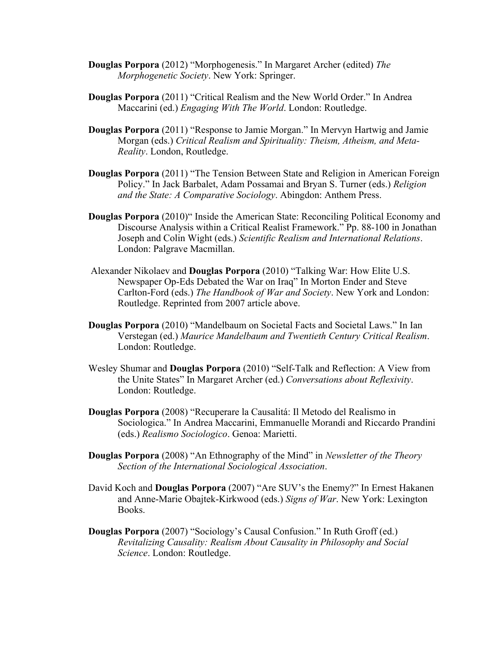- **Douglas Porpora** (2012) "Morphogenesis." In Margaret Archer (edited) *The Morphogenetic Society*. New York: Springer.
- **Douglas Porpora** (2011) "Critical Realism and the New World Order." In Andrea Maccarini (ed.) *Engaging With The World*. London: Routledge.
- **Douglas Porpora** (2011) "Response to Jamie Morgan." In Mervyn Hartwig and Jamie Morgan (eds.) *Critical Realism and Spirituality: Theism, Atheism, and Meta-Reality*. London, Routledge.
- **Douglas Porpora** (2011) "The Tension Between State and Religion in American Foreign Policy." In Jack Barbalet, Adam Possamai and Bryan S. Turner (eds.) *Religion and the State: A Comparative Sociology*. Abingdon: Anthem Press.
- **Douglas Porpora** (2010)" Inside the American State: Reconciling Political Economy and Discourse Analysis within a Critical Realist Framework." Pp. 88-100 in Jonathan Joseph and Colin Wight (eds.) *Scientific Realism and International Relations*. London: Palgrave Macmillan.
- Alexander Nikolaev and **Douglas Porpora** (2010) "Talking War: How Elite U.S. Newspaper Op-Eds Debated the War on Iraq" In Morton Ender and Steve Carlton-Ford (eds.) *The Handbook of War and Society*. New York and London: Routledge. Reprinted from 2007 article above.
- **Douglas Porpora** (2010) "Mandelbaum on Societal Facts and Societal Laws." In Ian Verstegan (ed.) *Maurice Mandelbaum and Twentieth Century Critical Realism*. London: Routledge.
- Wesley Shumar and **Douglas Porpora** (2010) "Self-Talk and Reflection: A View from the Unite States" In Margaret Archer (ed.) *Conversations about Reflexivity*. London: Routledge.
- **Douglas Porpora** (2008) "Recuperare la Causalitá: Il Metodo del Realismo in Sociologica." In Andrea Maccarini, Emmanuelle Morandi and Riccardo Prandini (eds.) *Realismo Sociologico*. Genoa: Marietti.
- **Douglas Porpora** (2008) "An Ethnography of the Mind" in *Newsletter of the Theory Section of the International Sociological Association*.
- David Koch and **Douglas Porpora** (2007) "Are SUV's the Enemy?" In Ernest Hakanen and Anne-Marie Obajtek-Kirkwood (eds.) *Signs of War*. New York: Lexington Books.
- **Douglas Porpora** (2007) "Sociology's Causal Confusion." In Ruth Groff (ed.) *Revitalizing Causality: Realism About Causality in Philosophy and Social Science*. London: Routledge.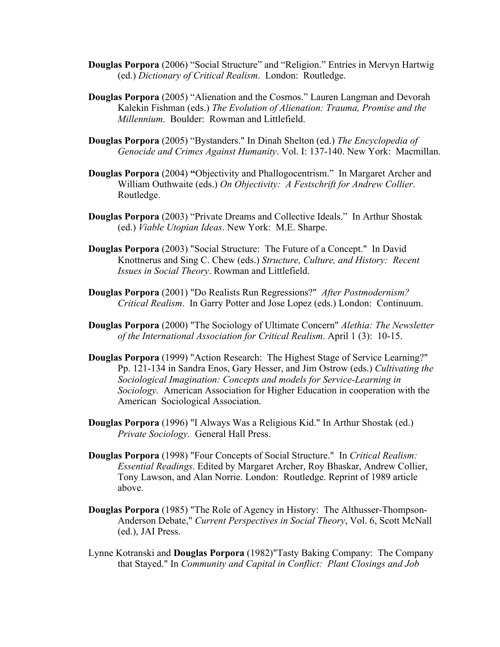- **Douglas Porpora** (2006) "Social Structure" and "Religion." Entries in Mervyn Hartwig (ed.) *Dictionary of Critical Realism*. London: Routledge.
- **Douglas Porpora** (2005) "Alienation and the Cosmos." Lauren Langman and Devorah Kalekin Fishman (eds.) *The Evolution of Alienation: Trauma, Promise and the Millennium*. Boulder: Rowman and Littlefield.
- **Douglas Porpora** (2005) "Bystanders." In Dinah Shelton (ed.) *The Encyclopedia of Genocide and Crimes Against Humanity*. Vol. I: 137-140. New York: Macmillan.
- **Douglas Porpora** (2004) **"**Objectivity and Phallogocentrism." In Margaret Archer and William Outhwaite (eds.) *On Objectivity: A Festschrift for Andrew Collier*. Routledge.
- **Douglas Porpora** (2003) "Private Dreams and Collective Ideals." In Arthur Shostak (ed.) *Viable Utopian Ideas*. New York: M.E. Sharpe.
- **Douglas Porpora** (2003) "Social Structure: The Future of a Concept." In David Knottnerus and Sing C. Chew (eds.) *Structure, Culture, and History: Recent Issues in Social Theory*. Rowman and Littlefield.
- **Douglas Porpora** (2001) "Do Realists Run Regressions?" *After Postmodernism? Critical Realism*. In Garry Potter and Jose Lopez (eds.) London: Continuum.
- **Douglas Porpora** (2000) "The Sociology of Ultimate Concern" *Alethia: The Newsletter of the International Association for Critical Realism*. April 1 (3): 10-15.
- **Douglas Porpora** (1999) "Action Research: The Highest Stage of Service Learning?" Pp. 121-134 in Sandra Enos, Gary Hesser, and Jim Ostrow (eds.) *Cultivating the Sociological Imagination: Concepts and models for Service-Learning in Sociology.* American Association for Higher Education in cooperation with the American Sociological Association.
- **Douglas Porpora** (1996) "I Always Was a Religious Kid." In Arthur Shostak (ed.) *Private Sociology.* General Hall Press.
- **Douglas Porpora** (1998) "Four Concepts of Social Structure." In *Critical Realism: Essential Readings*. Edited by Margaret Archer, Roy Bhaskar, Andrew Collier, Tony Lawson, and Alan Norrie. London: Routledge. Reprint of 1989 article above.
- **Douglas Porpora** (1985) "The Role of Agency in History: The Althusser-Thompson-Anderson Debate," *Current Perspectives in Social Theory*, Vol. 6, Scott McNall (ed.), JAI Press.
- Lynne Kotranski and **Douglas Porpora** (1982)"Tasty Baking Company: The Company that Stayed." In *Community and Capital in Conflict: Plant Closings and Job*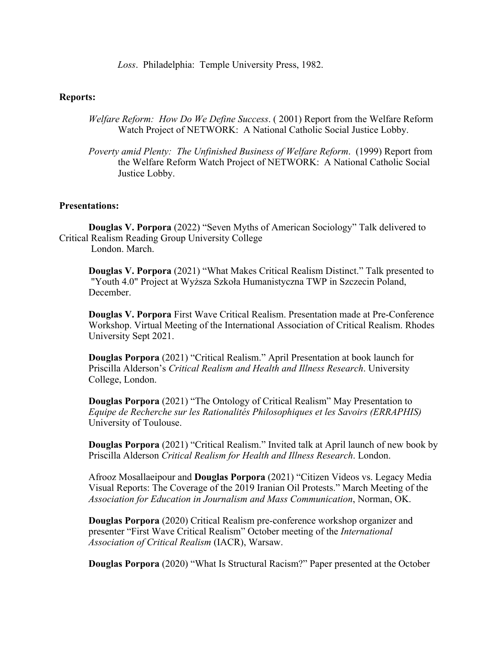*Loss*. Philadelphia: Temple University Press, 1982.

## **Reports:**

- *Welfare Reform: How Do We Define Success*. ( 2001) Report from the Welfare Reform Watch Project of NETWORK: A National Catholic Social Justice Lobby.
- *Poverty amid Plenty: The Unfinished Business of Welfare Reform*. (1999) Report from the Welfare Reform Watch Project of NETWORK: A National Catholic Social Justice Lobby.

#### **Presentations:**

**Douglas V. Porpora** (2022) "Seven Myths of American Sociology" Talk delivered to Critical Realism Reading Group University College London. March.

**Douglas V. Porpora** (2021) "What Makes Critical Realism Distinct." Talk presented to "Youth 4.0" Project at Wyższa Szkoła Humanistyczna TWP in Szczecin Poland, December.

**Douglas V. Porpora** First Wave Critical Realism. Presentation made at Pre-Conference Workshop. Virtual Meeting of the International Association of Critical Realism. Rhodes University Sept 2021.

**Douglas Porpora** (2021) "Critical Realism." April Presentation at book launch for Priscilla Alderson's *Critical Realism and Health and Illness Research*. University College, London.

**Douglas Porpora** (2021) "The Ontology of Critical Realism" May Presentation to *Equipe de Recherche sur les Rationalités Philosophiques et les Savoirs (ERRAPHIS)* University of Toulouse.

**Douglas Porpora** (2021) "Critical Realism." Invited talk at April launch of new book by Priscilla Alderson *Critical Realism for Health and Illness Research*. London.

Afrooz Mosallaeipour and **Douglas Porpora** (2021) "Citizen Videos vs. Legacy Media Visual Reports: The Coverage of the 2019 Iranian Oil Protests." March Meeting of the *Association for Education in Journalism and Mass Communication*, Norman, OK.

**Douglas Porpora** (2020) Critical Realism pre-conference workshop organizer and presenter "First Wave Critical Realism" October meeting of the *International Association of Critical Realism* (IACR), Warsaw.

**Douglas Porpora** (2020) "What Is Structural Racism?" Paper presented at the October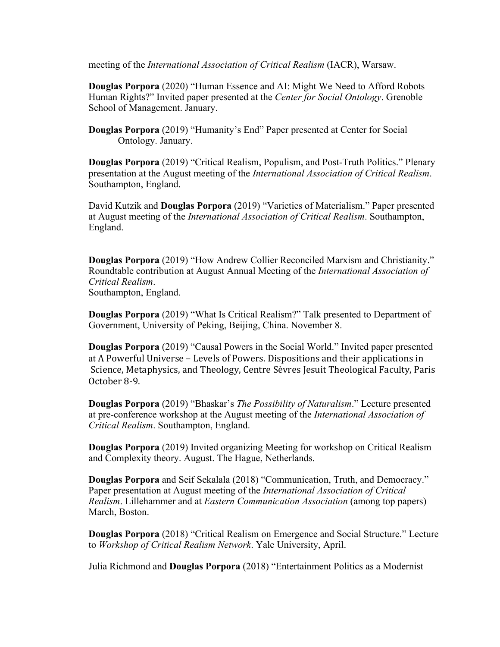meeting of the *International Association of Critical Realism* (IACR), Warsaw.

**Douglas Porpora** (2020) "Human Essence and AI: Might We Need to Afford Robots Human Rights?" Invited paper presented at the *Center for Social Ontology*. Grenoble School of Management. January.

**Douglas Porpora** (2019) "Humanity's End" Paper presented at Center for Social Ontology. January.

**Douglas Porpora** (2019) "Critical Realism, Populism, and Post-Truth Politics." Plenary presentation at the August meeting of the *International Association of Critical Realism*. Southampton, England.

David Kutzik and **Douglas Porpora** (2019) "Varieties of Materialism." Paper presented at August meeting of the *International Association of Critical Realism*. Southampton, England.

**Douglas Porpora** (2019) "How Andrew Collier Reconciled Marxism and Christianity." Roundtable contribution at August Annual Meeting of the *International Association of Critical Realism*. Southampton, England.

**Douglas Porpora** (2019) "What Is Critical Realism?" Talk presented to Department of Government, University of Peking, Beijing, China. November 8.

**Douglas Porpora** (2019) "Causal Powers in the Social World." Invited paper presented at A Powerful Universe - Levels of Powers. Dispositions and their applications in Science, Metaphysics, and Theology, Centre Sèvres Jesuit Theological Faculty, Paris October 8-9.

**Douglas Porpora** (2019) "Bhaskar's *The Possibility of Naturalism*." Lecture presented at pre-conference workshop at the August meeting of the *International Association of Critical Realism*. Southampton, England.

**Douglas Porpora** (2019) Invited organizing Meeting for workshop on Critical Realism and Complexity theory. August. The Hague, Netherlands.

**Douglas Porpora** and Seif Sekalala (2018) "Communication, Truth, and Democracy." Paper presentation at August meeting of the *International Association of Critical Realism*. Lillehammer and at *Eastern Communication Association* (among top papers) March, Boston.

**Douglas Porpora** (2018) "Critical Realism on Emergence and Social Structure." Lecture to *Workshop of Critical Realism Network*. Yale University, April.

Julia Richmond and **Douglas Porpora** (2018) "Entertainment Politics as a Modernist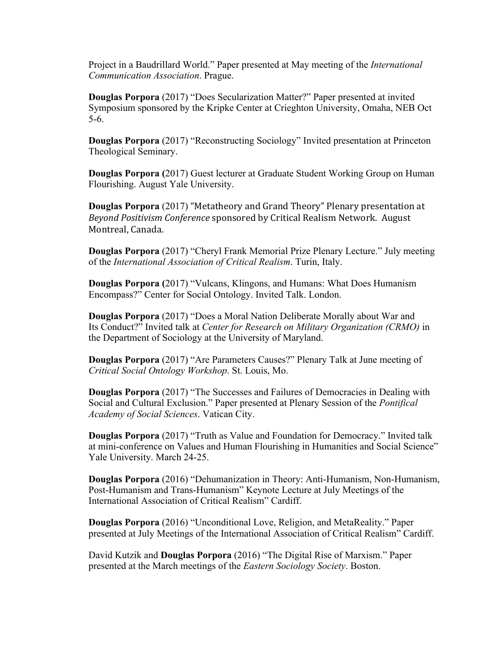Project in a Baudrillard World." Paper presented at May meeting of the *International Communication Association*. Prague.

**Douglas Porpora** (2017) "Does Secularization Matter?" Paper presented at invited Symposium sponsored by the Kripke Center at Crieghton University, Omaha, NEB Oct 5-6.

**Douglas Porpora** (2017) "Reconstructing Sociology" Invited presentation at Princeton Theological Seminary.

**Douglas Porpora (**2017) Guest lecturer at Graduate Student Working Group on Human Flourishing. August Yale University.

**Douglas Porpora** (2017) "Metatheory and Grand Theory" Plenary presentation at *Beyond Positivism Conference* sponsored by Critical Realism Network. August Montreal, Canada.

**Douglas Porpora** (2017) "Cheryl Frank Memorial Prize Plenary Lecture." July meeting of the *International Association of Critical Realism*. Turin, Italy.

**Douglas Porpora (**2017) "Vulcans, Klingons, and Humans: What Does Humanism Encompass?" Center for Social Ontology. Invited Talk. London.

**Douglas Porpora** (2017) "Does a Moral Nation Deliberate Morally about War and Its Conduct?" Invited talk at *Center for Research on Military Organization (CRMO)* in the Department of Sociology at the University of Maryland.

**Douglas Porpora** (2017) "Are Parameters Causes?" Plenary Talk at June meeting of *Critical Social Ontology Workshop*. St. Louis, Mo.

**Douglas Porpora** (2017) "The Successes and Failures of Democracies in Dealing with Social and Cultural Exclusion." Paper presented at Plenary Session of the *Pontifical Academy of Social Sciences*. Vatican City.

**Douglas Porpora** (2017) "Truth as Value and Foundation for Democracy." Invited talk at mini-conference on Values and Human Flourishing in Humanities and Social Science" Yale University. March 24-25.

**Douglas Porpora** (2016) "Dehumanization in Theory: Anti-Humanism, Non-Humanism, Post-Humanism and Trans-Humanism" Keynote Lecture at July Meetings of the International Association of Critical Realism" Cardiff.

**Douglas Porpora** (2016) "Unconditional Love, Religion, and MetaReality." Paper presented at July Meetings of the International Association of Critical Realism" Cardiff.

David Kutzik and **Douglas Porpora** (2016) "The Digital Rise of Marxism." Paper presented at the March meetings of the *Eastern Sociology Society*. Boston.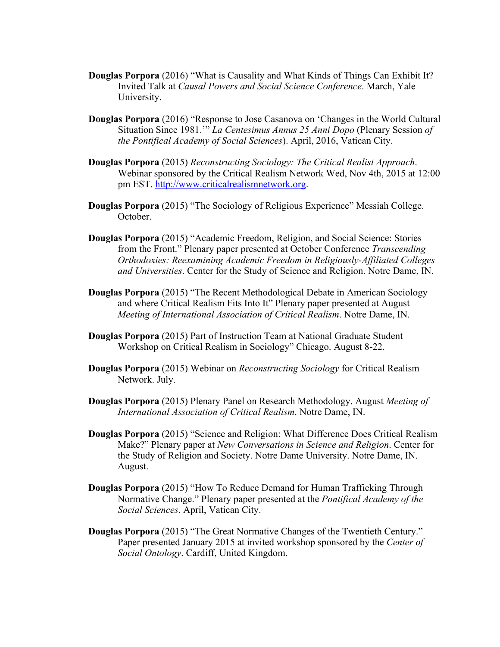- **Douglas Porpora** (2016) "What is Causality and What Kinds of Things Can Exhibit It? Invited Talk at *Causal Powers and Social Science Conference*. March, Yale University.
- **Douglas Porpora** (2016) "Response to Jose Casanova on 'Changes in the World Cultural Situation Since 1981.'" *La Centesimus Annus 25 Anni Dopo* (Plenary Session *of the Pontifical Academy of Social Sciences*). April, 2016, Vatican City.
- **Douglas Porpora** (2015) *Reconstructing Sociology: The Critical Realist Approach*. Webinar sponsored by the Critical Realism Network Wed, Nov 4th, 2015 at 12:00 pm EST. http://www.criticalrealismnetwork.org.
- **Douglas Porpora** (2015) "The Sociology of Religious Experience" Messiah College. October.
- **Douglas Porpora** (2015) "Academic Freedom, Religion, and Social Science: Stories from the Front." Plenary paper presented at October Conference *Transcending Orthodoxies: Reexamining Academic Freedom in Religiously-Affiliated Colleges and Universities*. Center for the Study of Science and Religion. Notre Dame, IN.
- **Douglas Porpora** (2015) "The Recent Methodological Debate in American Sociology and where Critical Realism Fits Into It" Plenary paper presented at August *Meeting of International Association of Critical Realism*. Notre Dame, IN.
- **Douglas Porpora** (2015) Part of Instruction Team at National Graduate Student Workshop on Critical Realism in Sociology" Chicago. August 8-22.
- **Douglas Porpora** (2015) Webinar on *Reconstructing Sociology* for Critical Realism Network. July.
- **Douglas Porpora** (2015) Plenary Panel on Research Methodology. August *Meeting of International Association of Critical Realism*. Notre Dame, IN.
- **Douglas Porpora** (2015) "Science and Religion: What Difference Does Critical Realism Make?" Plenary paper at *New Conversations in Science and Religion*. Center for the Study of Religion and Society. Notre Dame University. Notre Dame, IN. August.
- **Douglas Porpora** (2015) "How To Reduce Demand for Human Trafficking Through Normative Change." Plenary paper presented at the *Pontifical Academy of the Social Sciences*. April, Vatican City.
- **Douglas Porpora** (2015) "The Great Normative Changes of the Twentieth Century." Paper presented January 2015 at invited workshop sponsored by the *Center of Social Ontology*. Cardiff, United Kingdom.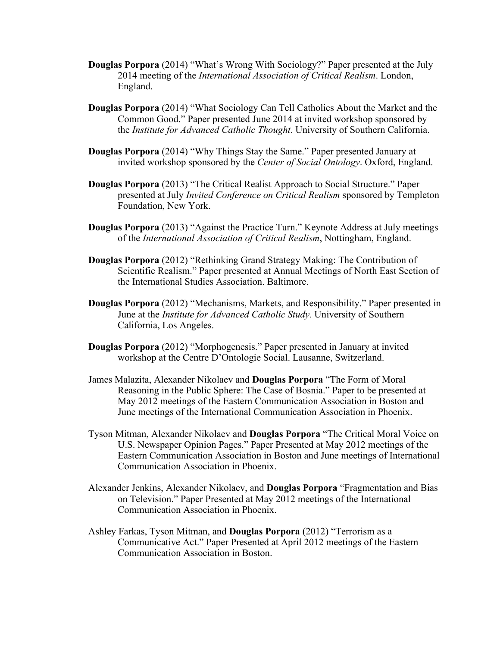- **Douglas Porpora** (2014) "What's Wrong With Sociology?" Paper presented at the July 2014 meeting of the *International Association of Critical Realism*. London, England.
- **Douglas Porpora** (2014) "What Sociology Can Tell Catholics About the Market and the Common Good." Paper presented June 2014 at invited workshop sponsored by the *Institute for Advanced Catholic Thought*. University of Southern California.
- **Douglas Porpora** (2014) "Why Things Stay the Same." Paper presented January at invited workshop sponsored by the *Center of Social Ontology*. Oxford, England.
- **Douglas Porpora** (2013) "The Critical Realist Approach to Social Structure." Paper presented at July *Invited Conference on Critical Realism* sponsored by Templeton Foundation, New York.
- **Douglas Porpora** (2013) "Against the Practice Turn." Keynote Address at July meetings of the *International Association of Critical Realism*, Nottingham, England.
- **Douglas Porpora** (2012) "Rethinking Grand Strategy Making: The Contribution of Scientific Realism." Paper presented at Annual Meetings of North East Section of the International Studies Association. Baltimore.
- **Douglas Porpora** (2012) "Mechanisms, Markets, and Responsibility." Paper presented in June at the *Institute for Advanced Catholic Study.* University of Southern California, Los Angeles.
- **Douglas Porpora** (2012) "Morphogenesis." Paper presented in January at invited workshop at the Centre D'Ontologie Social. Lausanne, Switzerland.
- James Malazita, Alexander Nikolaev and **Douglas Porpora** "The Form of Moral Reasoning in the Public Sphere: The Case of Bosnia." Paper to be presented at May 2012 meetings of the Eastern Communication Association in Boston and June meetings of the International Communication Association in Phoenix.
- Tyson Mitman, Alexander Nikolaev and **Douglas Porpora** "The Critical Moral Voice on U.S. Newspaper Opinion Pages." Paper Presented at May 2012 meetings of the Eastern Communication Association in Boston and June meetings of International Communication Association in Phoenix.
- Alexander Jenkins, Alexander Nikolaev, and **Douglas Porpora** "Fragmentation and Bias on Television." Paper Presented at May 2012 meetings of the International Communication Association in Phoenix.
- Ashley Farkas, Tyson Mitman, and **Douglas Porpora** (2012) "Terrorism as a Communicative Act." Paper Presented at April 2012 meetings of the Eastern Communication Association in Boston.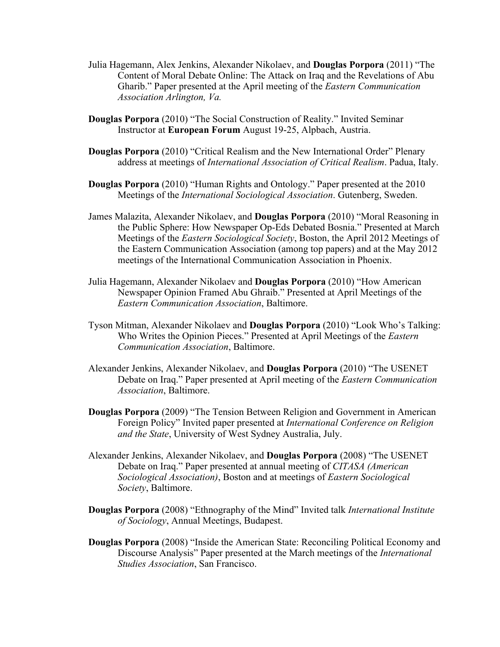- Julia Hagemann, Alex Jenkins, Alexander Nikolaev, and **Douglas Porpora** (2011) "The Content of Moral Debate Online: The Attack on Iraq and the Revelations of Abu Gharib." Paper presented at the April meeting of the *Eastern Communication Association Arlington, Va.*
- **Douglas Porpora** (2010) "The Social Construction of Reality." Invited Seminar Instructor at **European Forum** August 19-25, Alpbach, Austria.
- **Douglas Porpora** (2010) "Critical Realism and the New International Order" Plenary address at meetings of *International Association of Critical Realism*. Padua, Italy.
- **Douglas Porpora** (2010) "Human Rights and Ontology." Paper presented at the 2010 Meetings of the *International Sociological Association*. Gutenberg, Sweden.
- James Malazita, Alexander Nikolaev, and **Douglas Porpora** (2010) "Moral Reasoning in the Public Sphere: How Newspaper Op-Eds Debated Bosnia." Presented at March Meetings of the *Eastern Sociological Society*, Boston, the April 2012 Meetings of the Eastern Communication Association (among top papers) and at the May 2012 meetings of the International Communication Association in Phoenix.
- Julia Hagemann, Alexander Nikolaev and **Douglas Porpora** (2010) "How American Newspaper Opinion Framed Abu Ghraib." Presented at April Meetings of the *Eastern Communication Association*, Baltimore.
- Tyson Mitman, Alexander Nikolaev and **Douglas Porpora** (2010) "Look Who's Talking: Who Writes the Opinion Pieces." Presented at April Meetings of the *Eastern Communication Association*, Baltimore.
- Alexander Jenkins, Alexander Nikolaev, and **Douglas Porpora** (2010) "The USENET Debate on Iraq." Paper presented at April meeting of the *Eastern Communication Association*, Baltimore.
- **Douglas Porpora** (2009) "The Tension Between Religion and Government in American Foreign Policy" Invited paper presented at *International Conference on Religion and the State*, University of West Sydney Australia, July.
- Alexander Jenkins, Alexander Nikolaev, and **Douglas Porpora** (2008) "The USENET Debate on Iraq." Paper presented at annual meeting of *CITASA (American Sociological Association)*, Boston and at meetings of *Eastern Sociological Society*, Baltimore.
- **Douglas Porpora** (2008) "Ethnography of the Mind" Invited talk *International Institute of Sociology*, Annual Meetings, Budapest.
- **Douglas Porpora** (2008) "Inside the American State: Reconciling Political Economy and Discourse Analysis" Paper presented at the March meetings of the *International Studies Association*, San Francisco.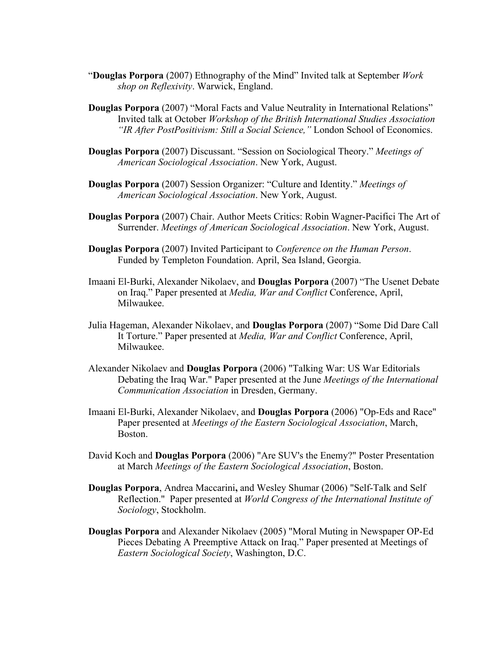- "**Douglas Porpora** (2007) Ethnography of the Mind" Invited talk at September *Work shop on Reflexivity*. Warwick, England.
- **Douglas Porpora** (2007) "Moral Facts and Value Neutrality in International Relations" Invited talk at October *Workshop of the British International Studies Association "IR After PostPositivism: Still a Social Science,"* London School of Economics.
- **Douglas Porpora** (2007) Discussant. "Session on Sociological Theory." *Meetings of American Sociological Association*. New York, August.
- **Douglas Porpora** (2007) Session Organizer: "Culture and Identity." *Meetings of American Sociological Association*. New York, August.
- **Douglas Porpora** (2007) Chair. Author Meets Critics: Robin Wagner-Pacifici The Art of Surrender. *Meetings of American Sociological Association*. New York, August.
- **Douglas Porpora** (2007) Invited Participant to *Conference on the Human Person*. Funded by Templeton Foundation. April, Sea Island, Georgia.
- Imaani El-Burki, Alexander Nikolaev, and **Douglas Porpora** (2007) "The Usenet Debate on Iraq." Paper presented at *Media, War and Conflict* Conference, April, Milwaukee.
- Julia Hageman, Alexander Nikolaev, and **Douglas Porpora** (2007) "Some Did Dare Call It Torture." Paper presented at *Media, War and Conflict* Conference, April, Milwaukee.
- Alexander Nikolaev and **Douglas Porpora** (2006) "Talking War: US War Editorials Debating the Iraq War." Paper presented at the June *Meetings of the International Communication Association* in Dresden, Germany.
- Imaani El-Burki, Alexander Nikolaev, and **Douglas Porpora** (2006) "Op-Eds and Race" Paper presented at *Meetings of the Eastern Sociological Association*, March, Boston.
- David Koch and **Douglas Porpora** (2006) "Are SUV's the Enemy?" Poster Presentation at March *Meetings of the Eastern Sociological Association*, Boston.
- **Douglas Porpora**, Andrea Maccarini**,** and Wesley Shumar (2006) "Self-Talk and Self Reflection." Paper presented at *World Congress of the International Institute of Sociology*, Stockholm.
- **Douglas Porpora** and Alexander Nikolaev (2005) "Moral Muting in Newspaper OP-Ed Pieces Debating A Preemptive Attack on Iraq." Paper presented at Meetings of *Eastern Sociological Society*, Washington, D.C.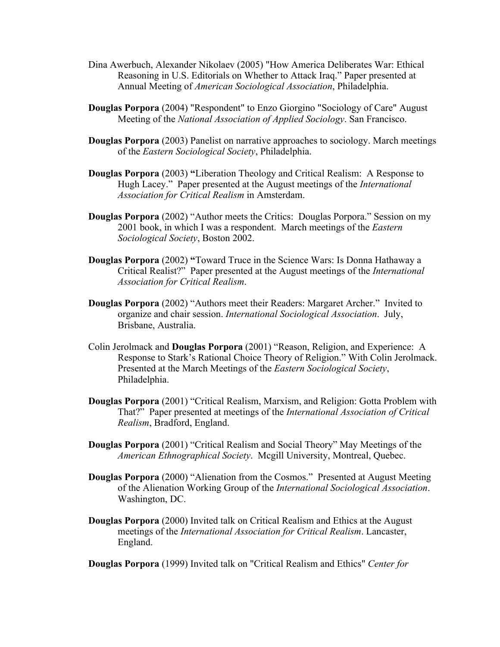- Dina Awerbuch, Alexander Nikolaev (2005) "How America Deliberates War: Ethical Reasoning in U.S. Editorials on Whether to Attack Iraq." Paper presented at Annual Meeting of *American Sociological Association*, Philadelphia.
- **Douglas Porpora** (2004) "Respondent" to Enzo Giorgino "Sociology of Care" August Meeting of the *National Association of Applied Sociology*. San Francisco.
- **Douglas Porpora** (2003) Panelist on narrative approaches to sociology. March meetings of the *Eastern Sociological Society*, Philadelphia.
- **Douglas Porpora** (2003) **"**Liberation Theology and Critical Realism: A Response to Hugh Lacey." Paper presented at the August meetings of the *International Association for Critical Realism* in Amsterdam.
- **Douglas Porpora** (2002) "Author meets the Critics: Douglas Porpora." Session on my 2001 book, in which I was a respondent. March meetings of the *Eastern Sociological Society*, Boston 2002.
- **Douglas Porpora** (2002) **"**Toward Truce in the Science Wars: Is Donna Hathaway a Critical Realist?" Paper presented at the August meetings of the *International Association for Critical Realism*.
- **Douglas Porpora** (2002) "Authors meet their Readers: Margaret Archer." Invited to organize and chair session. *International Sociological Association*. July, Brisbane, Australia.
- Colin Jerolmack and **Douglas Porpora** (2001) "Reason, Religion, and Experience: A Response to Stark's Rational Choice Theory of Religion." With Colin Jerolmack. Presented at the March Meetings of the *Eastern Sociological Society*, Philadelphia.
- **Douglas Porpora** (2001) "Critical Realism, Marxism, and Religion: Gotta Problem with That?" Paper presented at meetings of the *International Association of Critical Realism*, Bradford, England.
- **Douglas Porpora** (2001) "Critical Realism and Social Theory" May Meetings of the *American Ethnographical Society*. Mcgill University, Montreal, Quebec.
- **Douglas Porpora** (2000) "Alienation from the Cosmos." Presented at August Meeting of the Alienation Working Group of the *International Sociological Association*. Washington, DC.
- **Douglas Porpora** (2000) Invited talk on Critical Realism and Ethics at the August meetings of the *International Association for Critical Realism*. Lancaster, England.

**Douglas Porpora** (1999) Invited talk on "Critical Realism and Ethics" *Center for*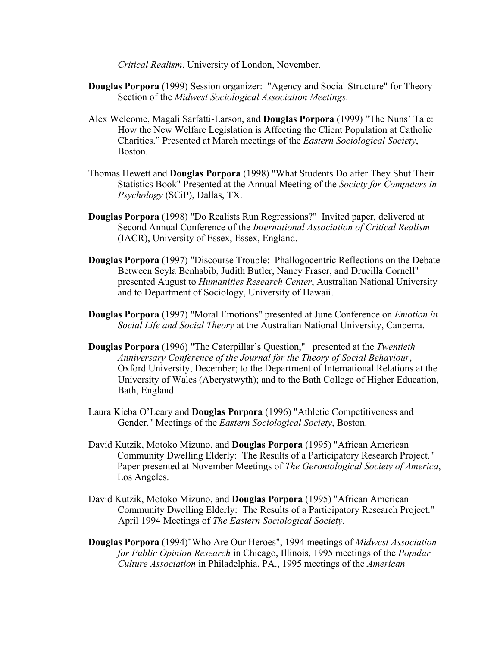*Critical Realism*. University of London, November.

- **Douglas Porpora** (1999) Session organizer: "Agency and Social Structure" for Theory Section of the *Midwest Sociological Association Meetings*.
- Alex Welcome, Magali Sarfatti-Larson, and **Douglas Porpora** (1999) "The Nuns' Tale: How the New Welfare Legislation is Affecting the Client Population at Catholic Charities." Presented at March meetings of the *Eastern Sociological Society*, Boston.
- Thomas Hewett and **Douglas Porpora** (1998) "What Students Do after They Shut Their Statistics Book" Presented at the Annual Meeting of the *Society for Computers in Psychology* (SCiP), Dallas, TX.
- **Douglas Porpora** (1998) "Do Realists Run Regressions?" Invited paper, delivered at Second Annual Conference of the *International Association of Critical Realism* (IACR), University of Essex, Essex, England.
- **Douglas Porpora** (1997) "Discourse Trouble: Phallogocentric Reflections on the Debate Between Seyla Benhabib, Judith Butler, Nancy Fraser, and Drucilla Cornell" presented August to *Humanities Research Center*, Australian National University and to Department of Sociology, University of Hawaii.
- **Douglas Porpora** (1997) "Moral Emotions" presented at June Conference on *Emotion in Social Life and Social Theory* at the Australian National University, Canberra.
- **Douglas Porpora** (1996) "The Caterpillar's Question," presented at the *Twentieth Anniversary Conference of the Journal for the Theory of Social Behaviour*, Oxford University, December; to the Department of International Relations at the University of Wales (Aberystwyth); and to the Bath College of Higher Education, Bath, England.
- Laura Kieba O'Leary and **Douglas Porpora** (1996) "Athletic Competitiveness and Gender." Meetings of the *Eastern Sociological Society*, Boston.
- David Kutzik, Motoko Mizuno, and **Douglas Porpora** (1995) "African American Community Dwelling Elderly: The Results of a Participatory Research Project." Paper presented at November Meetings of *The Gerontological Society of America*, Los Angeles.
- David Kutzik, Motoko Mizuno, and **Douglas Porpora** (1995) "African American Community Dwelling Elderly: The Results of a Participatory Research Project." April 1994 Meetings of *The Eastern Sociological Society*.
- **Douglas Porpora** (1994)"Who Are Our Heroes", 1994 meetings of *Midwest Association for Public Opinion Research* in Chicago, Illinois, 1995 meetings of the *Popular Culture Association* in Philadelphia, PA., 1995 meetings of the *American*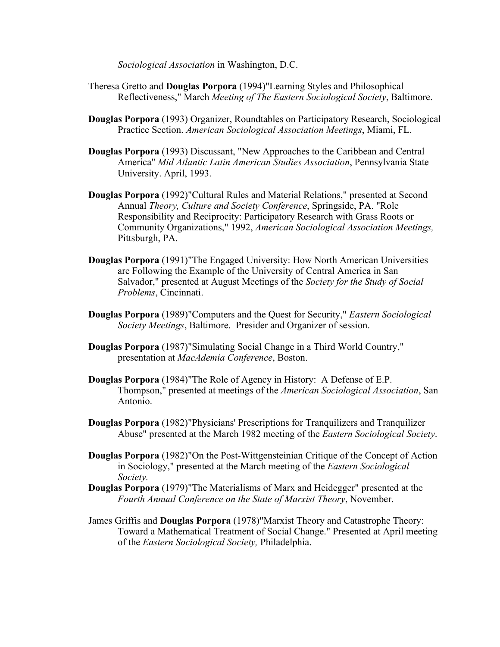*Sociological Association* in Washington, D.C.

- Theresa Gretto and **Douglas Porpora** (1994)"Learning Styles and Philosophical Reflectiveness," March *Meeting of The Eastern Sociological Society*, Baltimore.
- **Douglas Porpora** (1993) Organizer, Roundtables on Participatory Research, Sociological Practice Section. *American Sociological Association Meetings*, Miami, FL.
- **Douglas Porpora** (1993) Discussant, "New Approaches to the Caribbean and Central America" *Mid Atlantic Latin American Studies Association*, Pennsylvania State University. April, 1993.
- **Douglas Porpora** (1992)"Cultural Rules and Material Relations," presented at Second Annual *Theory, Culture and Society Conference*, Springside, PA. "Role Responsibility and Reciprocity: Participatory Research with Grass Roots or Community Organizations," 1992, *American Sociological Association Meetings,* Pittsburgh, PA.
- **Douglas Porpora** (1991)"The Engaged University: How North American Universities are Following the Example of the University of Central America in San Salvador," presented at August Meetings of the *Society for the Study of Social Problems*, Cincinnati.
- **Douglas Porpora** (1989)"Computers and the Quest for Security," *Eastern Sociological Society Meetings*, Baltimore. Presider and Organizer of session.
- **Douglas Porpora** (1987)"Simulating Social Change in a Third World Country," presentation at *MacAdemia Conference*, Boston.
- **Douglas Porpora** (1984)"The Role of Agency in History: A Defense of E.P. Thompson," presented at meetings of the *American Sociological Association*, San Antonio.
- **Douglas Porpora** (1982)"Physicians' Prescriptions for Tranquilizers and Tranquilizer Abuse" presented at the March 1982 meeting of the *Eastern Sociological Society*.
- **Douglas Porpora** (1982)"On the Post-Wittgensteinian Critique of the Concept of Action in Sociology," presented at the March meeting of the *Eastern Sociological Society.*
- **Douglas Porpora** (1979)"The Materialisms of Marx and Heidegger" presented at the *Fourth Annual Conference on the State of Marxist Theory*, November.
- James Griffis and **Douglas Porpora** (1978)"Marxist Theory and Catastrophe Theory: Toward a Mathematical Treatment of Social Change." Presented at April meeting of the *Eastern Sociological Society,* Philadelphia.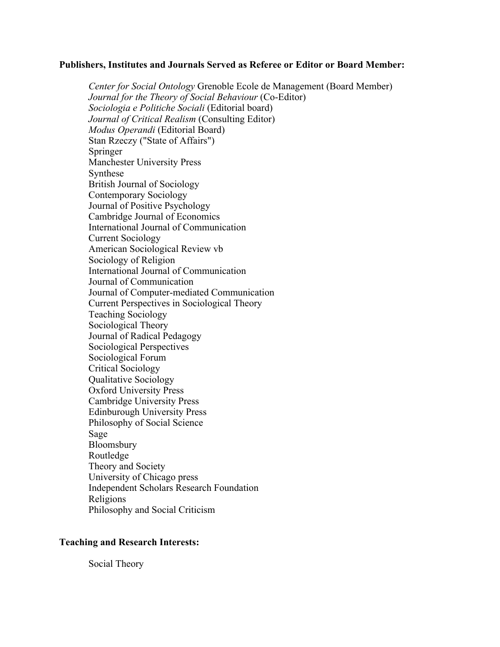#### **Publishers, Institutes and Journals Served as Referee or Editor or Board Member:**

*Center for Social Ontology* Grenoble Ecole de Management (Board Member) *Journal for the Theory of Social Behaviour* (Co-Editor) *Sociologia e Politiche Sociali* (Editorial board) *Journal of Critical Realism* (Consulting Editor) *Modus Operandi* (Editorial Board) Stan Rzeczy ("State of Affairs") Springer Manchester University Press Synthese British Journal of Sociology Contemporary Sociology Journal of Positive Psychology Cambridge Journal of Economics International Journal of Communication Current Sociology American Sociological Review vb Sociology of Religion International Journal of Communication Journal of Communication Journal of Computer-mediated Communication Current Perspectives in Sociological Theory Teaching Sociology Sociological Theory Journal of Radical Pedagogy Sociological Perspectives Sociological Forum Critical Sociology Qualitative Sociology Oxford University Press Cambridge University Press Edinburough University Press Philosophy of Social Science Sage Bloomsbury Routledge Theory and Society University of Chicago press Independent Scholars Research Foundation Religions Philosophy and Social Criticism

#### **Teaching and Research Interests:**

Social Theory